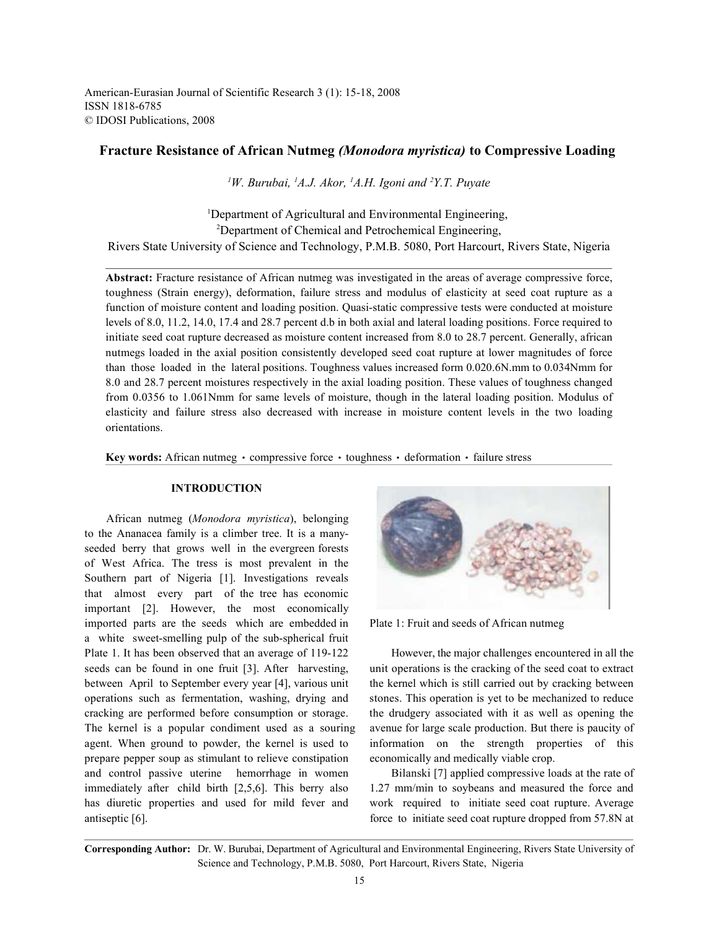American-Eurasian Journal of Scientific Research 3 (1): 15-18, 2008 ISSN 1818-6785 © IDOSI Publications, 2008

# **Fracture Resistance of African Nutmeg** *(Monodora myristica)* **to Compressive Loading**

<sup>1</sup>W. Burubai, <sup>1</sup>A.J. Akor, <sup>1</sup>A.H. Igoni and <sup>2</sup>Y.T. Puyate

<sup>1</sup>Department of Agricultural and Environmental Engineering, <sup>2</sup>Department of Chemical and Petrochemical Engineering, Rivers State University of Science and Technology, P.M.B. 5080, Port Harcourt, Rivers State, Nigeria

**Abstract:** Fracture resistance of African nutmeg was investigated in the areas of average compressive force, toughness (Strain energy), deformation, failure stress and modulus of elasticity at seed coat rupture as a function of moisture content and loading position. Quasi-static compressive tests were conducted at moisture levels of 8.0, 11.2, 14.0, 17.4 and 28.7 percent d.b in both axial and lateral loading positions. Force required to initiate seed coat rupture decreased as moisture content increased from 8.0 to 28.7 percent. Generally, african nutmegs loaded in the axial position consistently developed seed coat rupture at lower magnitudes of force than those loaded in the lateral positions. Toughness values increased form 0.020.6N.mm to 0.034Nmm for 8.0 and 28.7 percent moistures respectively in the axial loading position. These values of toughness changed from 0.0356 to 1.061Nmm for same levels of moisture, though in the lateral loading position. Modulus of elasticity and failure stress also decreased with increase in moisture content levels in the two loading orientations.

**Key words:** African nutmeg · compressive force · toughness · deformation · failure stress

#### **INTRODUCTION**

African nutmeg (*Monodora myristica*), belonging to the Ananacea family is a climber tree. It is a manyseeded berry that grows well in the evergreen forests of West Africa. The tress is most prevalent in the Southern part of Nigeria [1]. Investigations reveals that almost every part of the tree has economic important [2]. However, the most economically imported parts are the seeds which are embedded in Plate 1: Fruit and seeds of African nutmeg a white sweet-smelling pulp of the sub-spherical fruit Plate 1. It has been observed that an average of 119-122 However, the major challenges encountered in all the seeds can be found in one fruit [3]. After harvesting, unit operations is the cracking of the seed coat to extract between April to September every year [4], various unit the kernel which is still carried out by cracking between operations such as fermentation, washing, drying and stones. This operation is yet to be mechanized to reduce cracking are performed before consumption or storage. the drudgery associated with it as well as opening the The kernel is a popular condiment used as a souring avenue for large scale production. But there is paucity of agent. When ground to powder, the kernel is used to information on the strength properties of this prepare pepper soup as stimulant to relieve constipation economically and medically viable crop. and control passive uterine hemorrhage in women Bilanski [7] applied compressive loads at the rate of immediately after child birth [2,5,6]. This berry also 1.27 mm/min to soybeans and measured the force and has diuretic properties and used for mild fever and work required to initiate seed coat rupture. Average



antiseptic [6]. **force to initiate seed coat rupture dropped from 57.8N at** 

**Corresponding Author:** Dr. W. Burubai, Department of Agricultural and Environmental Engineering, Rivers State University of Science and Technology, P.M.B. 5080, Port Harcourt, Rivers State, Nigeria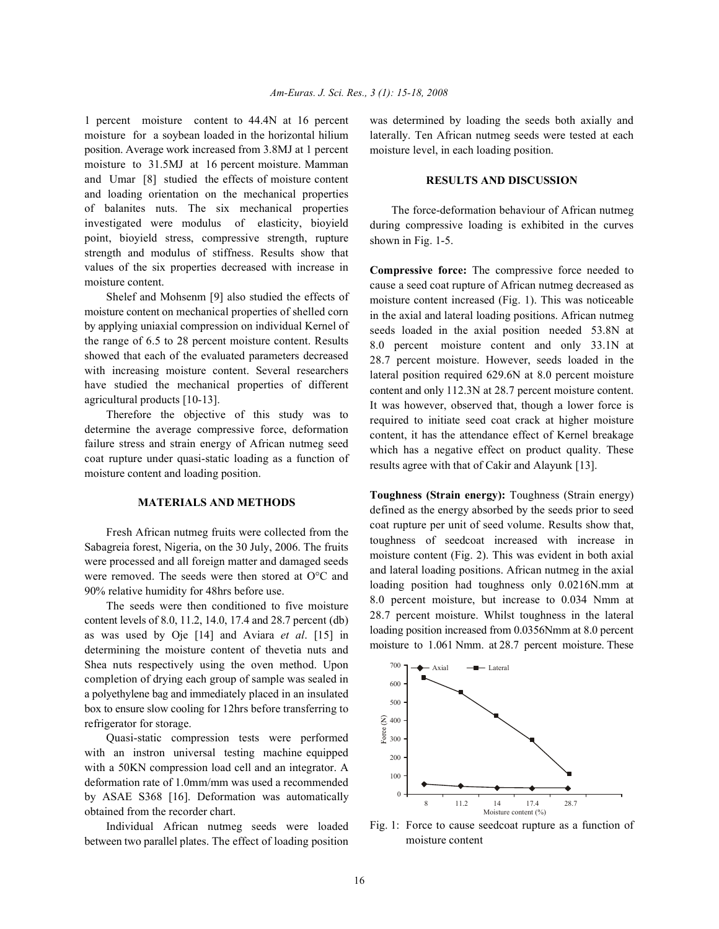1 percent moisture content to 44.4N at 16 percent was determined by loading the seeds both axially and moisture for a soybean loaded in the horizontal hilium position. Average work increased from 3.8MJ at 1 percent moisture to 31.5MJ at 16 percent moisture. Mamman and Umar [8] studied the effects of moisture content and loading orientation on the mechanical properties of balanites nuts. The six mechanical properties investigated were modulus of elasticity, bioyield point, bioyield stress, compressive strength, rupture strength and modulus of stiffness. Results show that values of the six properties decreased with increase in moisture content.

Shelef and Mohsenm [9] also studied the effects of moisture content on mechanical properties of shelled corn by applying uniaxial compression on individual Kernel of the range of 6.5 to 28 percent moisture content. Results showed that each of the evaluated parameters decreased with increasing moisture content. Several researchers have studied the mechanical properties of different agricultural products [10-13].

Therefore the objective of this study was to determine the average compressive force, deformation failure stress and strain energy of African nutmeg seed coat rupture under quasi-static loading as a function of moisture content and loading position.

# **MATERIALS AND METHODS**

Fresh African nutmeg fruits were collected from the Sabagreia forest, Nigeria, on the 30 July, 2006. The fruits were processed and all foreign matter and damaged seeds were removed. The seeds were then stored at O°C and 90% relative humidity for 48hrs before use.

The seeds were then conditioned to five moisture content levels of 8.0, 11.2, 14.0, 17.4 and 28.7 percent (db) as was used by Oje [14] and Aviara *et al*. [15] in determining the moisture content of thevetia nuts and Shea nuts respectively using the oven method. Upon completion of drying each group of sample was sealed in a polyethylene bag and immediately placed in an insulated box to ensure slow cooling for 12hrs before transferring to refrigerator for storage.

Quasi-static compression tests were performed with an instron universal testing machine equipped with a 50KN compression load cell and an integrator. A deformation rate of 1.0mm/mm was used a recommended by ASAE S368 [16]. Deformation was automatically obtained from the recorder chart.

Individual African nutmeg seeds were loaded between two parallel plates. The effect of loading position laterally. Ten African nutmeg seeds were tested at each moisture level, in each loading position.

# **RESULTS AND DISCUSSION**

The force-deformation behaviour of African nutmeg during compressive loading is exhibited in the curves shown in Fig. 1-5.

**Compressive force:** The compressive force needed to cause a seed coat rupture of African nutmeg decreased as moisture content increased (Fig. 1). This was noticeable in the axial and lateral loading positions. African nutmeg seeds loaded in the axial position needed 53.8N at 8.0 percent moisture content and only 33.1N at 28.7 percent moisture. However, seeds loaded in the lateral position required 629.6N at 8.0 percent moisture content and only 112.3N at 28.7 percent moisture content. It was however, observed that, though a lower force is required to initiate seed coat crack at higher moisture content, it has the attendance effect of Kernel breakage which has a negative effect on product quality. These results agree with that of Cakir and Alayunk [13].

**Toughness (Strain energy):** Toughness (Strain energy) defined as the energy absorbed by the seeds prior to seed coat rupture per unit of seed volume. Results show that, toughness of seedcoat increased with increase in moisture content (Fig. 2). This was evident in both axial and lateral loading positions. African nutmeg in the axial loading position had toughness only 0.0216N.mm at 8.0 percent moisture, but increase to 0.034 Nmm at 28.7 percent moisture. Whilst toughness in the lateral loading position increased from 0.0356Nmm at 8.0 percent moisture to 1.061 Nmm. at 28.7 percent moisture. These



Fig. 1: Force to cause seedcoat rupture as a function of moisture content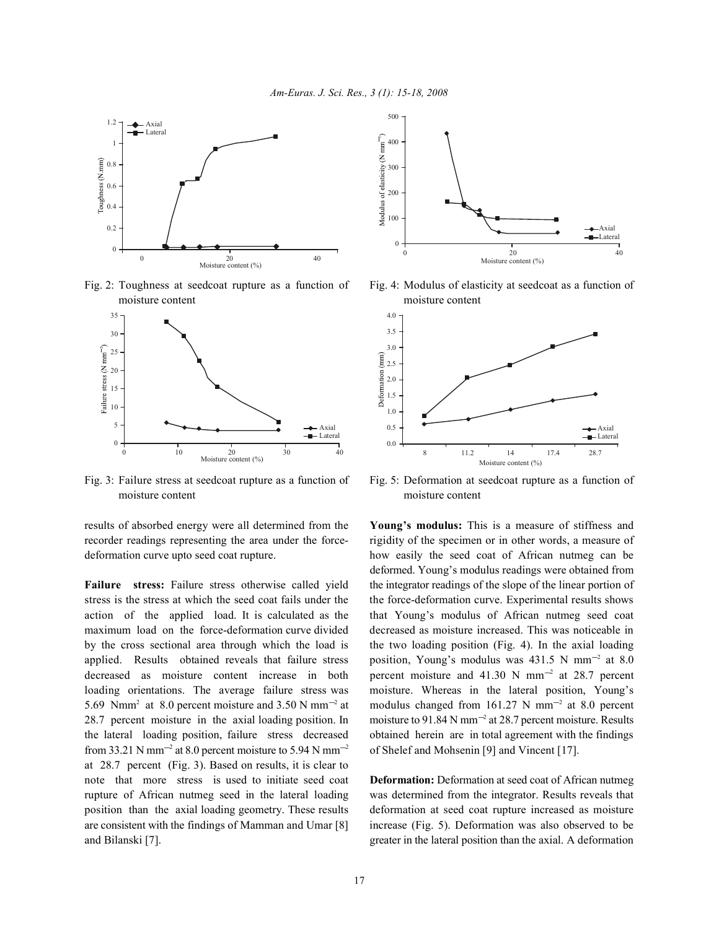

moisture content moisture content



Fig. 3: Failure stress at seedcoat rupture as a function of Fig. 5: Deformation at seedcoat rupture as a function of moisture content moisture content

results of absorbed energy were all determined from the **Young's modulus:** This is a measure of stiffness and

stress is the stress at which the seed coat fails under the the force-deformation curve. Experimental results shows action of the applied load. It is calculated as the that Young's modulus of African nutmeg seed coat maximum load on the force-deformation curve divided decreased as moisture increased. This was noticeable in by the cross sectional area through which the load is the two loading position (Fig. 4). In the axial loading applied. Results obtained reveals that failure stress position, Young's modulus was 431.5 N mm<sup>-2</sup> at 8.0 decreased as moisture content increase in both percent moisture and 41.30 N mm<sup>-2</sup> at 28.7 percent loading orientations. The average failure stress was moisture. Whereas in the lateral position, Young's 5.69 Nmm<sup>2</sup> at 8.0 percent moisture and 3.50 N mm<sup>-2</sup> at 28.7 percent moisture in the axial loading position. In moisture to 91.84 N mm<sup>-2</sup> at 28.7 percent moisture. Results the lateral loading position, failure stress decreased obtained herein are in total agreement with the findings from 33.21 N mm<sup>-2</sup> at 8.0 percent moisture to 5.94 N mm<sup>-2</sup> of Shelef and Mohsenin [9] and Vincent [17]. at 28.7 percent (Fig. 3). Based on results, it is clear to note that more stress is used to initiate seed coat **Deformation:** Deformation at seed coat of African nutmeg rupture of African nutmeg seed in the lateral loading was determined from the integrator. Results reveals that position than the axial loading geometry. These results deformation at seed coat rupture increased as moisture are consistent with the findings of Mamman and Umar [8] increase (Fig. 5). Deformation was also observed to be and Bilanski [7]. greater in the lateral position than the axial. A deformation



Fig. 2: Toughness at seedcoat rupture as a function of Fig. 4: Modulus of elasticity at seedcoat as a function of



recorder readings representing the area under the force- rigidity of the specimen or in other words, a measure of deformation curve upto seed coat rupture. how easily the seed coat of African nutmeg can be **Failure** stress: Failure stress otherwise called yield the integrator readings of the slope of the linear portion of deformed. Young's modulus readings were obtained from modulus changed from 161.27 N mm<sup>-2</sup> at 8.0 percent